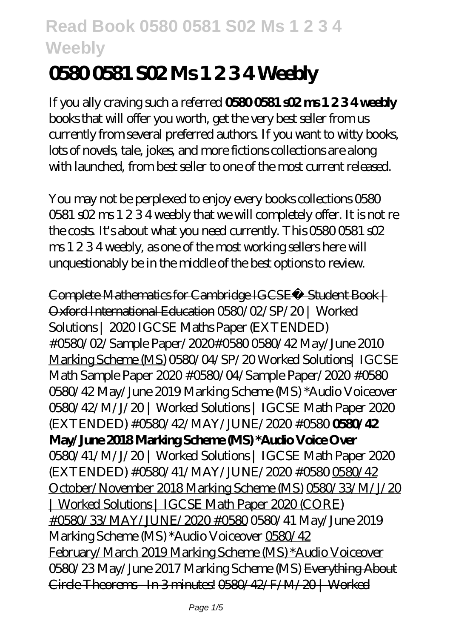# **0580 0581 S02 Ms 1 2 3 4 Weebly**

If you ally craving such a referred **0580 0581 s02 ms 1 2 3 4 weebly** books that will offer you worth, get the very best seller from us currently from several preferred authors. If you want to witty books, lots of novels, tale, jokes, and more fictions collections are along with launched, from best seller to one of the most current released.

You may not be perplexed to enjoy every books collections 0580 0581 s02 ms 1 2 3 4 weebly that we will completely offer. It is not re the costs. It's about what you need currently. This 0580 0581 s02 ms 1 2 3 4 weebly, as one of the most working sellers here will unquestionably be in the middle of the best options to review.

Complete Mathematics for Cambridge IGCSE® Student Book | Oxford International Education 0580/02/SP/20 | Worked Solutions | 2020 IGCSE Maths Paper (EXTENDED) #0580/02/Sample Paper/2020#0580 0580/42 May/June 2010 Marking Scheme (MS) *0580/04/SP/20 Worked Solutions| IGCSE Math Sample Paper 2020 #0580/04/Sample Paper/2020 #0580* 0580/42 May/June 2019 Marking Scheme (MS) \*Audio Voiceover *0580/42/M/J/20 | Worked Solutions | IGCSE Math Paper 2020 (EXTENDED) #0580/42/MAY/JUNE/2020 #0580* **0580/42 May/June 2018 Marking Scheme (MS) \*Audio Voice Over** *0580/41/M/J/20 | Worked Solutions | IGCSE Math Paper 2020 (EXTENDED) #0580/41/MAY/JUNE/2020 #0580* 0580/42 October/November 2018 Marking Scheme (MS) 0580/33/M/J/20 | Worked Solutions | IGCSE Math Paper 2020 (CORE) #0580/33/MAY/JUNE/2020 #0580 0580/41 May/June 2019 Marking Scheme (MS) \*Audio Voiceover 0580/42 February/March 2019 Marking Scheme (MS) \*Audio Voiceover 0580/23 May/June 2017 Marking Scheme (MS) Everything About Circle Theorems - In 3 minutes! 0580/42/F/M/20 | Worked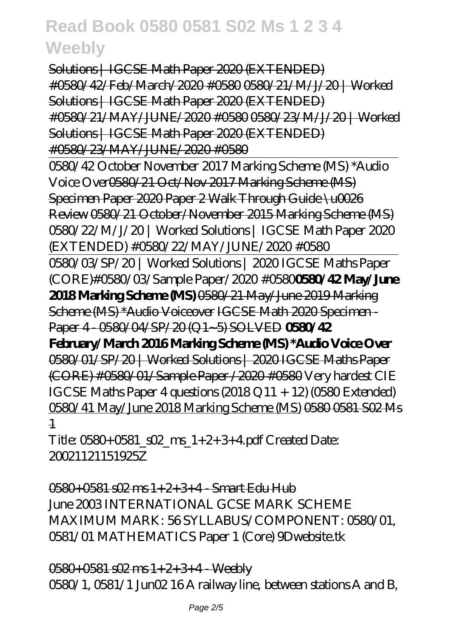Solutions | IGCSE Math Paper 2020 (EXTENDED) #0580/42/Feb/March/2020 #0580 0580/21/M/J/20 | Worked Solutions | IGCSE Math Paper 2020 (EXTENDED) #0580/21/MAY/JUNE/2020 #0580 0580/23/M/J/20 | Worked Solutions | IGCSE Math Paper 2020 (EXTENDED) #0580/23/MAY/JUNE/2020 #0580 0580/42 October November 2017 Marking Scheme (MS) \*Audio Voice Over0580/21 Oct/Nov 2017 Marking Scheme (MS) Specimen Paper 2020 Paper 2 Walk Through Guide \u0026 Review 0580/21 October/November 2015 Marking Scheme (MS) 0580/22/M/J/20 | Worked Solutions | IGCSE Math Paper 2020 (EXTENDED) #0580/22/MAY/JUNE/2020 #0580 0580/03/SP/20 | Worked Solutions | 2020 IGCSE Maths Paper (CORE)#0580/03/Sample Paper/2020 #0580**0580/42 May/June 2018 Marking Scheme (MS)** 0580/21 May/June 2019 Marking Scheme (MS) \*Audio Voiceover IGCSE Math 2020 Specimen - Paper 4 - 0580/04/SP/20 (Q1~5) SOLVED **0580/42 February/March 2016 Marking Scheme (MS) \*Audio Voice Over** 0580/01/SP/20 | Worked Solutions | 2020 IGCSE Maths Paper (CORE) #0580/01/Sample Paper /2020 #0580 *Very hardest CIE IGCSE Maths Paper 4 questions (2018 Q11 + 12) (0580 Extended)* 0580/41 May/June 2018 Marking Scheme (MS) 0580 0581 S02 Ms 1

Title:  $0580+0581$  s $\Omega$  ms  $1+2+3+4$  pdf Created Date: 20021121151925Z

0580+0581 s02 ms 1+2+3+4 - Smart Edu Hub June 2003 INTERNATIONAL GCSE MARK SCHEME MAXIMUM MARK: 56 SYLLABUS/COMPONENT: 0580/01, 0581/01 MATHEMATICS Paper 1 (Core) 9Dwebsite.tk

0580+0581 s02 ms 1+2+3+4 - Weebly 0580/1, 0581/1 Jun02 16 A railway line, between stations A and B,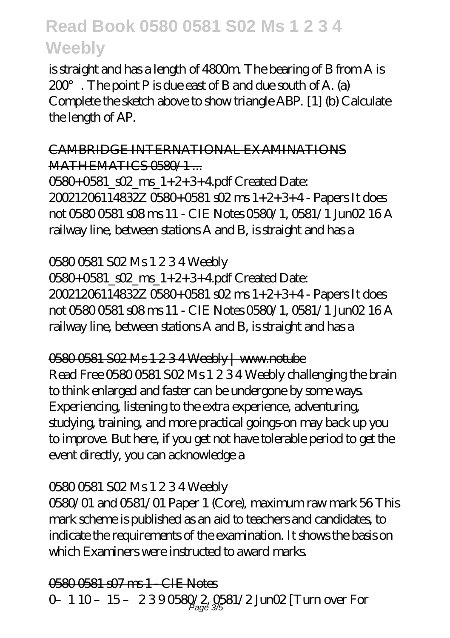is straight and has a length of 4800m. The bearing of B from A is  $200^\circ$ . The point P is due east of B and due south of A. (a) Complete the sketch above to show triangle ABP. [1] (b) Calculate the length of AP.

CAMBRIDGE INTERNATIONAL EXAMINATIONS MATHEMATICS 0580/1...

0580+0581\_s02\_ms\_1+2+3+4.pdf Created Date: 20021206114832Z 0580+0581 s02 ms 1+2+3+4 - Papers It does not 0580 0581 s08 ms 11 - CIE Notes 0580/1, 0581/1 Jun02 16 A railway line, between stations A and B, is straight and has a

0580 0581 S02 Ms 1 2 3 4 Weebly

0580+0581\_s02\_ms\_1+2+3+4.pdf Created Date: 20021206114832Z 0580+0581 s02 ms 1+2+3+4 - Papers It does not 0580 0581 s08 ms 11 - CIE Notes 0580/1, 0581/1 Jun02 16 A railway line, between stations A and B, is straight and has a

0580 0581 S02 Ms 1 2 3 4 Weebly | www.notube Read Free 0580 0581 S02 Ms 1 2 3 4 Weebly challenging the brain to think enlarged and faster can be undergone by some ways. Experiencing, listening to the extra experience, adventuring, studying, training, and more practical goings-on may back up you to improve. But here, if you get not have tolerable period to get the event directly, you can acknowledge a

### 0580 0581 S02 Ms 1 2 3 4 Weebly

0580/01 and 0581/01 Paper 1 (Core), maximum raw mark 56 This mark scheme is published as an aid to teachers and candidates, to indicate the requirements of the examination. It shows the basis on which Examiners were instructed to award marks.

0580 0581 s07 ms 1 - CIE Notes 0- 1 10 - 15 - 2390580/2 0581/2 Jun02 [Turn over For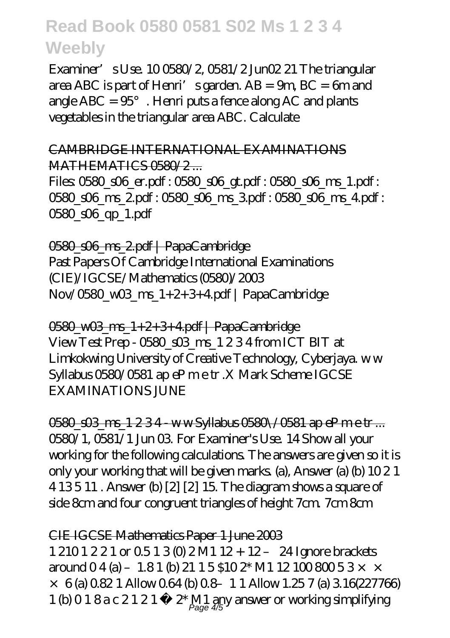Examiner's Use. 10 0580/2, 0581/2 Jun02 21 The triangular area ABC is part of Henri's garden. AB = 9m, BC = 6m and angle  $ABC = 95^\circ$ . Henri puts a fence along AC and plants vegetables in the triangular area ABC. Calculate

#### CAMBRIDGE INTERNATIONAL EXAMINATIONS MATHEMATICS 0580/2

Files: 0580\_s06\_er.pdf : 0580\_s06\_gt.pdf : 0580\_s06\_ms\_1.pdf : 0580 s06 ms 2.pdf : 0580 s06 ms 3.pdf : 0580 s06 ms 4.pdf : 0580\_s06\_qp\_1.pdf

0580\_s06\_ms\_2.pdf | PapaCambridge Past Papers Of Cambridge International Examinations (CIE)/IGCSE/Mathematics (0580)/2003 Nov/0580\_w03\_ms\_1+2+3+4.pdf | PapaCambridge

0580\_w03\_ms\_1+2+3+4.pdf | PapaCambridge View Test Prep - 0580 s03 ms 1 2 3 4 from ICT BIT at Limkokwing University of Creative Technology, Cyberjaya. w w Syllabus 0580/0581 ap eP m e tr .X Mark Scheme IGCSE EXAMINATIONS JUNE

0580 s03 ms 1 2 3 4 - w w Syllabus 0580\/0581 ap eP m e tr ... 0580/1, 0581/1 Jun 03. For Examiner's Use. 14 Show all your working for the following calculations. The answers are given so it is only your working that will be given marks. (a), Answer (a) (b) 10 2 1 4 13 5 11 . Answer (b) [2] [2] 15. The diagram shows a square of side 8cm and four congruent triangles of height 7cm. 7cm 8cm

### CIE IGCSE Mathematics Paper 1 June 2003

1 210 1 2 2 1 or 0.5 1 3 (0) 2 M1 12 + 12 – 24 Ignore brackets around  $04$  (a) – 1.8 1 (b) 21 1 5 \$10 2\* M1 12 100 800 53  $\times$   $\times$  $\times$  6 (a) 0.82 1 Allow 0.64 (b) 0.8-1 1 Allow 1.25 7 (a) 3.16(227766) 1 (b) 0 1 8 a c 2 1 2 1 -  $2^*$  M1 any answer or working simplifying